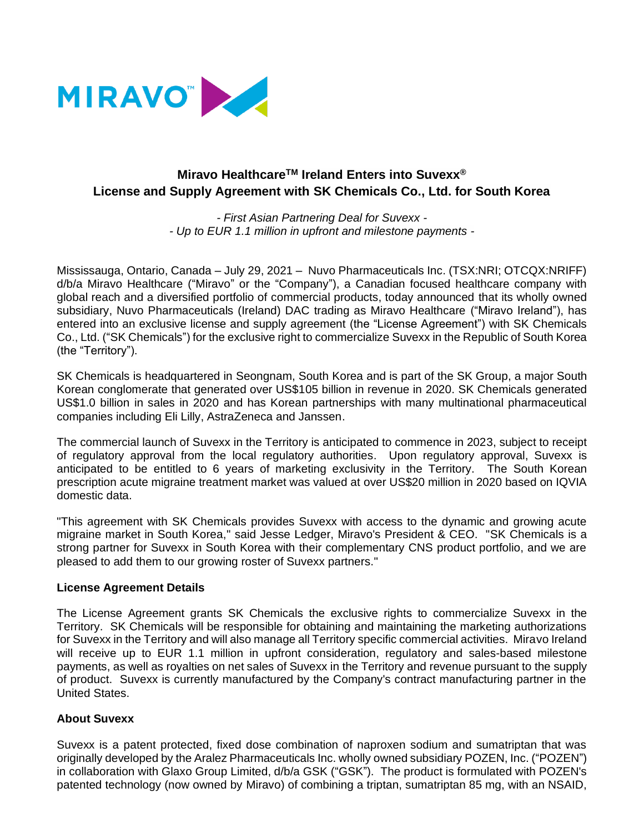

# **Miravo HealthcareTM Ireland Enters into Suvexx® License and Supply Agreement with SK Chemicals Co., Ltd. for South Korea**

*- First Asian Partnering Deal for Suvexx - - Up to EUR 1.1 million in upfront and milestone payments -*

Mississauga, Ontario, Canada – July 29, 2021 – Nuvo Pharmaceuticals Inc. (TSX:NRI; OTCQX:NRIFF) d/b/a Miravo Healthcare ("Miravo" or the "Company"), a Canadian focused healthcare company with global reach and a diversified portfolio of commercial products, today announced that its wholly owned subsidiary, Nuvo Pharmaceuticals (Ireland) DAC trading as Miravo Healthcare ("Miravo Ireland"), has entered into an exclusive license and supply agreement (the "License Agreement") with SK Chemicals Co., Ltd. ("SK Chemicals") for the exclusive right to commercialize Suvexx in the Republic of South Korea (the "Territory").

SK Chemicals is headquartered in Seongnam, South Korea and is part of the SK Group, a major South Korean conglomerate that generated over US\$105 billion in revenue in 2020. SK Chemicals generated US\$1.0 billion in sales in 2020 and has Korean partnerships with many multinational pharmaceutical companies including Eli Lilly, AstraZeneca and Janssen.

The commercial launch of Suvexx in the Territory is anticipated to commence in 2023, subject to receipt of regulatory approval from the local regulatory authorities. Upon regulatory approval, Suvexx is anticipated to be entitled to 6 years of marketing exclusivity in the Territory. The South Korean prescription acute migraine treatment market was valued at over US\$20 million in 2020 based on IQVIA domestic data.

"This agreement with SK Chemicals provides Suvexx with access to the dynamic and growing acute migraine market in South Korea," said Jesse Ledger, Miravo's President & CEO. "SK Chemicals is a strong partner for Suvexx in South Korea with their complementary CNS product portfolio, and we are pleased to add them to our growing roster of Suvexx partners."

# **License Agreement Details**

The License Agreement grants SK Chemicals the exclusive rights to commercialize Suvexx in the Territory. SK Chemicals will be responsible for obtaining and maintaining the marketing authorizations for Suvexx in the Territory and will also manage all Territory specific commercial activities. Miravo Ireland will receive up to EUR 1.1 million in upfront consideration, regulatory and sales-based milestone payments, as well as royalties on net sales of Suvexx in the Territory and revenue pursuant to the supply of product. Suvexx is currently manufactured by the Company's contract manufacturing partner in the United States.

# **About Suvexx**

Suvexx is a patent protected, fixed dose combination of naproxen sodium and sumatriptan that was originally developed by the Aralez Pharmaceuticals Inc. wholly owned subsidiary POZEN, Inc. ("POZEN") in collaboration with Glaxo Group Limited, d/b/a GSK ("GSK"). The product is formulated with POZEN's patented technology (now owned by Miravo) of combining a triptan, sumatriptan 85 mg, with an NSAID,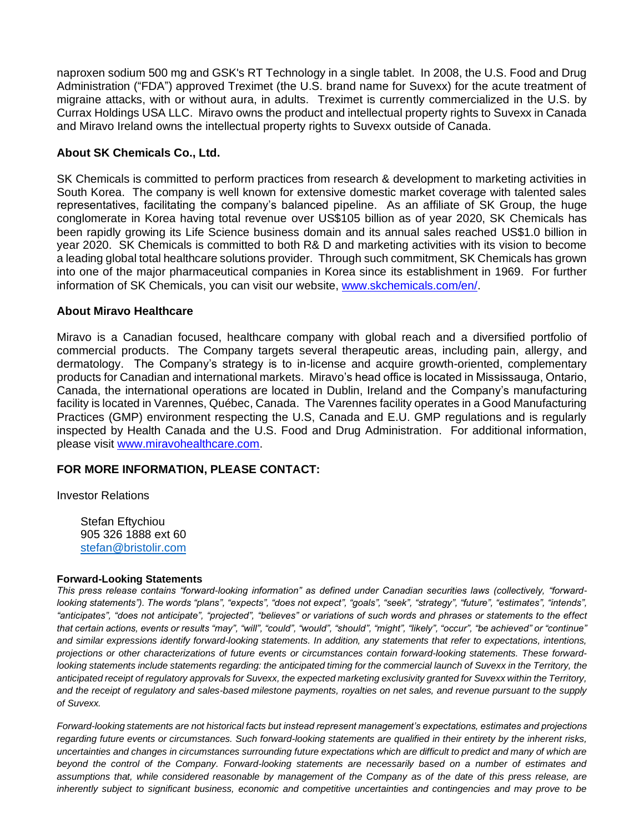naproxen sodium 500 mg and GSK's RT Technology in a single tablet. In 2008, the U.S. Food and Drug Administration ("FDA") approved Treximet (the U.S. brand name for Suvexx) for the acute treatment of migraine attacks, with or without aura, in adults. Treximet is currently commercialized in the U.S. by Currax Holdings USA LLC. Miravo owns the product and intellectual property rights to Suvexx in Canada and Miravo Ireland owns the intellectual property rights to Suvexx outside of Canada.

# **About SK Chemicals Co., Ltd.**

SK Chemicals is committed to perform practices from research & development to marketing activities in South Korea. The company is well known for extensive domestic market coverage with talented sales representatives, facilitating the company's balanced pipeline. As an affiliate of SK Group, the huge conglomerate in Korea having total revenue over US\$105 billion as of year 2020, SK Chemicals has been rapidly growing its Life Science business domain and its annual sales reached US\$1.0 billion in year 2020. SK Chemicals is committed to both R& D and marketing activities with its vision to become a leading global total healthcare solutions provider. Through such commitment, SK Chemicals has grown into one of the major pharmaceutical companies in Korea since its establishment in 1969. For further information of SK Chemicals, you can visit our website, [www.skchemicals.com/en/.](http://www.skchemicals.com/en/)

# **About Miravo Healthcare**

Miravo is a Canadian focused, healthcare company with global reach and a diversified portfolio of commercial products. The Company targets several therapeutic areas, including pain, allergy, and dermatology. The Company's strategy is to in-license and acquire growth-oriented, complementary products for Canadian and international markets. Miravo's head office is located in Mississauga, Ontario, Canada, the international operations are located in Dublin, Ireland and the Company's manufacturing facility is located in Varennes, Québec, Canada. The Varennes facility operates in a Good Manufacturing Practices (GMP) environment respecting the U.S, Canada and E.U. GMP regulations and is regularly inspected by Health Canada and the U.S. Food and Drug Administration. For additional information, please visit [www.miravohealthcare.com.](http://www.miravohealthcare.com/)

# **FOR MORE INFORMATION, PLEASE CONTACT:**

Investor Relations

Stefan Eftychiou 905 326 1888 ext 60 [stefan@bristolir.com](mailto:stefan@bristolir.com)

#### **Forward-Looking Statements**

*This press release contains "forward-looking information" as defined under Canadian securities laws (collectively, "forwardlooking statements"). The words "plans", "expects", "does not expect", "goals", "seek", "strategy", "future", "estimates", "intends", "anticipates", "does not anticipate", "projected", "believes" or variations of such words and phrases or statements to the effect that certain actions, events or results "may", "will", "could", "would", "should", "might", "likely", "occur", "be achieved" or "continue"*  and similar expressions identify forward-looking statements. In addition, any statements that refer to expectations, intentions, *projections or other characterizations of future events or circumstances contain forward-looking statements. These forwardlooking statements include statements regarding: the anticipated timing for the commercial launch of Suvexx in the Territory, the anticipated receipt of regulatory approvals for Suvexx, the expected marketing exclusivity granted for Suvexx within the Territory, and the receipt of regulatory and sales-based milestone payments, royalties on net sales, and revenue pursuant to the supply of Suvexx.*

*Forward-looking statements are not historical facts but instead represent management's expectations, estimates and projections regarding future events or circumstances. Such forward-looking statements are qualified in their entirety by the inherent risks,*  uncertainties and changes in circumstances surrounding future expectations which are difficult to predict and many of which are *beyond the control of the Company. Forward-looking statements are necessarily based on a number of estimates and assumptions that, while considered reasonable by management of the Company as of the date of this press release, are inherently subject to significant business, economic and competitive uncertainties and contingencies and may prove to be*